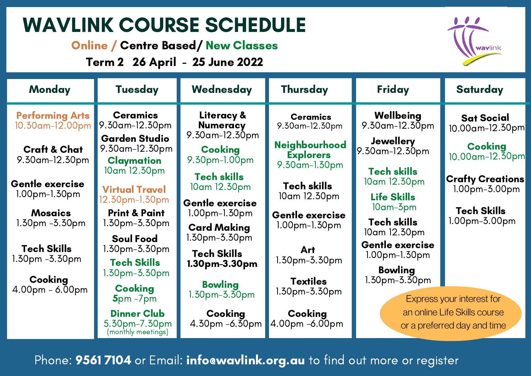# WAVLINK COURSE SCHEDULE

Online / Centre Based/ New Classes

Term 2 26 April - 25 June 2022



| <b>Monday</b>                             | <b>Tuesday</b>                                                           | Wednesday                                                | Thursday                                                  | Friday                                                                                   | <b>Saturday</b>                            |
|-------------------------------------------|--------------------------------------------------------------------------|----------------------------------------------------------|-----------------------------------------------------------|------------------------------------------------------------------------------------------|--------------------------------------------|
| <b>Performing Arts</b><br>10.30am-12.00pm | <b>Ceramics</b><br>9.30am-12.30pm                                        | Literacy &<br><b>Numeracy</b>                            | <b>Ceramics</b><br>9.30am-12.30pm                         | Wellbeing<br>9.30am-12.30pm                                                              | <b>Sat Social</b><br>10.00 am-12.30 pm     |
| <b>Craft &amp; Chat</b><br>9.30am-12.30pm | <b>Garden Studio</b><br>9.30am-12.30pm<br><b>Claymation</b>              | $9.30$ am-12.30pm<br><b>Cooking</b><br>9.30pm-1.00pm     | <b>Neighbourhood</b><br><b>Explorers</b><br>9.30am-1.30pm | <b>Jewellery</b><br>9.30am-12.30pm                                                       | <b>Cooking</b><br>$10.00$ am-12.30pm       |
| <b>Gentle exercise</b><br>1.00pm-1.30pm   | 10am 12.30pm<br><b>Virtual Travel</b><br>12.30pm-1.30pm                  | <b>Tech skills</b><br>10am 12.30pm                       | <b>Tech skills</b><br>10am 12.30pm                        | <b>Tech skills</b><br>10am 12.30pm<br><b>Life Skills</b>                                 | <b>Crafty Creations</b><br>$1.00pm-3.00pm$ |
| <b>Mosaics</b><br>$1.30pm - 3.30pm$       | <b>Print &amp; Paint</b><br>$1.30$ pm- $3.30$ pm                         | Gentle exercise<br>$1.00pm-1.50pm$<br><b>Card Making</b> | <b>Gentle exercise</b><br>1.00pm-1.30pm                   | 10am-3pm<br><b>Tech skills</b>                                                           | <b>Tech Skills</b><br>1.00pm-3.00pm        |
| <b>Tech Skills</b><br>$1.50pm - 5.50pm$   | <b>Soul Food</b><br>1.30pm-3.30pm<br><b>Tech Skills</b>                  | 1.30pm-3.30pm<br><b>Tech Skills</b>                      | <b>Art</b><br>1.30pm-3.30pm                               | 10am 12.30pm<br><b>Gentle exercise</b><br>$1.00pm-1.30pm$                                |                                            |
| Cooking<br>$4.00pm - 6.00pm$              | l.30pm-3.30pm<br><b>Cooking</b>                                          | 1.30pm-3.30pm<br><b>Bowling</b><br>$1.30$ pm- $3.50$ pm  | <b>Textiles</b><br>1.30pm-3.30pm                          | <b>Bowling</b><br>1.30pm-3.30pm                                                          |                                            |
|                                           | $5pm - 7pm$<br><b>Dinner Club</b><br>5.30pm-7.30pm<br>(monthly meetings) | Cooking<br>4.30pm -6.30pm                                | Cooking<br>4.00pm -6.00pm                                 | Express your interest for<br>an online Life Skills course<br>or a preferred day and time |                                            |

Phone: 9561 7104 or Email: infoawavlink.org.au to find out more or register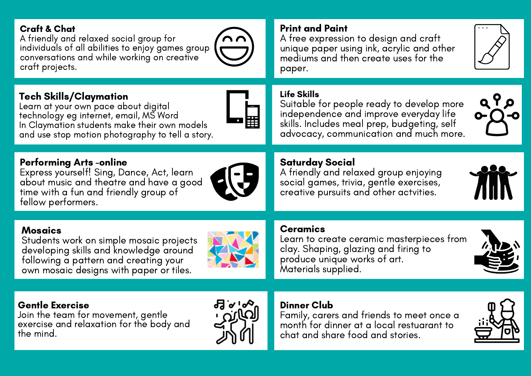#### Craft & Chat

A friendly and relaxed social group for individuals of all abilities to enjoy games group conversations and while working on creative craft projects.

In Claymation students make their own models and use stop motion photography to tell a story.



#### Print and Paint

A free expression to design and craft unique paper using ink, acrylic and other mediums and then create uses for the paper.



م 9 ه

#### Life Skills

Suitable for people ready to develop more independence and improve everyday life skills. Includes meal prep, budgeting, self advocacy, communication and much more.

#### Performing Arts -online

Tech Skills/Claymation

Learn at your own pace about digital technology eg internet, email, MS Word

Express yourself! Sing, Dance, Act, learn about music and theatre and have a good time with a fun and friendly group of fellow performers.



#### Saturday Social

A friendly and relaxed group enjoying social games, trivia, gentle exercises, creative pursuits and other actvities.



#### **Ceramics**

Learn to create ceramic masterpieces from clay. Shaping, glazing and firing to produce unique works of art. Materials supplied.

## Mosaics

Students work on simple mosaic projects developing skills and knowledge around following a pattern and creating your own mosaic designs with paper or tiles.



#### Gentle Exercise

Join the team for movement, gentle exercise and relaxation for the body and the mind.



#### Dinner Club

Family, carers and friends to meet once a month for dinner at a local restuarant to chat and share food and stories.

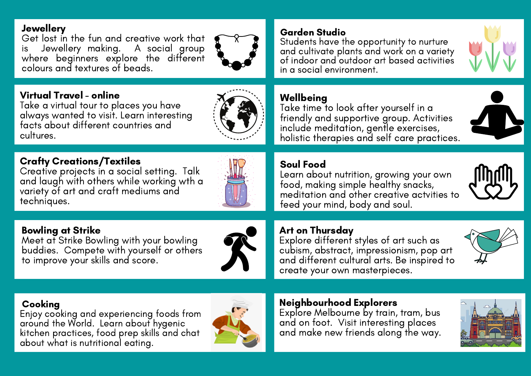#### **Jewellery**

Get lost in the fun and creative work that is Jewellery making. A social group where beginners explore the different colours and textures of beads.



### Virtual Travel - online

Take a virtual tour to places you have always wanted to visit. Learn interesting facts about different countries and cultures.

## Crafty Creations/Textiles

Creative projects in a social setting. Talk and laugh with others while working wth a variety of art and craft mediums and techniques.



## Bowling at Strike

Meet at Strike Bowling with your bowling buddies. Compete with yourself or others to improve your skills and score.



### Garden Studio

Students have the opportunity to nurture and cultivate plants and work on a variety of indoor and outdoor art based activities in a social environment.

#### Wellbeing

Take time to look after yourself in a friendly and supportive group. Activities include meditation, gentle exercises, holistic therapies and self care practices.

## Soul Food

Learn about nutrition, growing your own food, making simple healthy snacks, meditation and other creative actvities to feed your mind, body and soul.

## Art on Thursday

. Explore different styles of art such as cubism, abstract, impressionism, pop art and different cultural arts. Be inspired to create your own masterpieces.

#### Cooking

Enjoy cooking and experiencing foods from around the World. Learn about hygenic kitchen practices, food prep skills and chat about what is nutritional eating.



### Neighbourhood Explorers

Explore Melbourne by train, tram, bus and on foot. Visit interesting places and make new friends along the way.